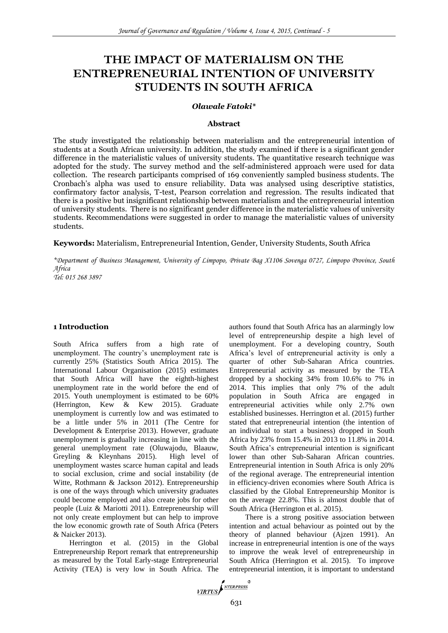# **THE IMPACT OF MATERIALISM ON THE ENTREPRENEURIAL INTENTION OF UNIVERSITY STUDENTS IN SOUTH AFRICA**

# *Olawale Fatoki\**

#### **Abstract**

The study investigated the relationship between materialism and the entrepreneurial intention of students at a South African university. In addition, the study examined if there is a significant gender difference in the materialistic values of university students. The quantitative research technique was adopted for the study. The survey method and the self-administered approach were used for data collection. The research participants comprised of 169 conveniently sampled business students. The Cronbach's alpha was used to ensure reliability. Data was analysed using descriptive statistics, confirmatory factor analysis, T-test, Pearson correlation and regression. The results indicated that there is a positive but insignificant relationship between materialism and the entrepreneurial intention of university students. There is no significant gender difference in the materialistic values of university students. Recommendations were suggested in order to manage the materialistic values of university students.

**Keywords:** Materialism, Entrepreneurial Intention, Gender, University Students, South Africa

*\*Department of Business Management, University of Limpopo, Private Bag X1106 Sovenga 0727, Limpopo Province, South Africa*

*Tel: 015 268 3897*

## **1 Introduction**

South Africa suffers from a high rate of unemployment. The country's unemployment rate is currently 25% (Statistics South Africa 2015). The International Labour Organisation (2015) estimates that South Africa will have the eighth-highest unemployment rate in the world before the end of 2015. Youth unemployment is estimated to be 60% (Herrington, Kew & Kew 2015). Graduate unemployment is currently low and was estimated to be a little under 5% in 2011 (The Centre for Development & Enterprise 2013). However, graduate unemployment is gradually increasing in line with the general unemployment rate (Oluwajodu, Blaauw, Greyling & Kleynhans 2015). High level of unemployment wastes scarce human capital and leads to social exclusion, crime and social instability (de Witte, Rothmann & Jackson 2012). Entrepreneurship is one of the ways through which university graduates could become employed and also create jobs for other people (Luiz & Mariotti 2011). Entrepreneurship will not only create employment but can help to improve the low economic growth rate of South Africa (Peters & Naicker 2013).

Herrington et al. (2015) in the Global Entrepreneurship Report remark that entrepreneurship as measured by the Total Early-stage Entrepreneurial Activity (TEA) is very low in South Africa. The authors found that South Africa has an alarmingly low level of entrepreneurship despite a high level of unemployment. For a developing country, South Africa's level of entrepreneurial activity is only a quarter of other Sub-Saharan Africa countries. Entrepreneurial activity as measured by the TEA dropped by a shocking 34% from 10.6% to 7% in 2014. This implies that only 7% of the adult population in South Africa are engaged in entrepreneurial activities while only 2.7% own established businesses. Herrington et al. (2015) further stated that entrepreneurial intention (the intention of an individual to start a business) dropped in South Africa by 23% from 15.4% in 2013 to 11.8% in 2014. South Africa's entrepreneurial intention is significant lower than other Sub-Saharan African countries. Entrepreneurial intention in South Africa is only 20% of the regional average. The entrepreneurial intention in efficiency-driven economies where South Africa is classified by the Global Entrepreneurship Monitor is on the average 22.8%. This is almost double that of South Africa (Herrington et al. 2015).

There is a strong positive association between intention and actual behaviour as pointed out by the theory of planned behaviour (Ajzen 1991). An increase in entrepreneurial intention is one of the ways to improve the weak level of entrepreneurship in South Africa (Herrington et al. 2015). To improve entrepreneurial intention, it is important to understand

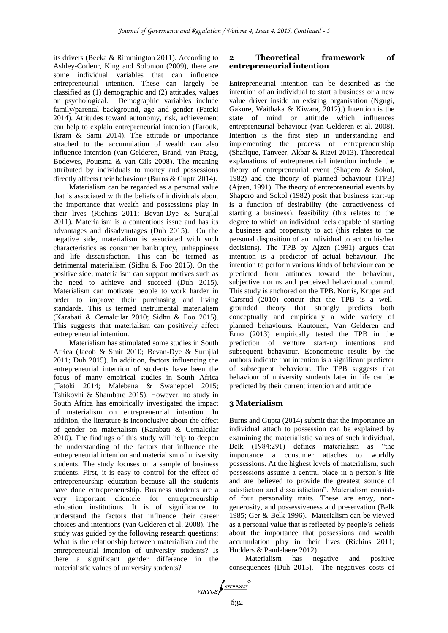its drivers (Beeka & Rimmington 2011). According to Ashley-Cotleur, King and Solomon (2009), there are some individual variables that can influence entrepreneurial intention. These can largely be classified as (1) demographic and (2) attitudes, values or psychological. Demographic variables include family/parental background, age and gender (Fatoki 2014). Attitudes toward autonomy, risk, achievement can help to explain entrepreneurial intention (Farouk, Ikram & Sami 2014). The attitude or importance attached to the accumulation of wealth can also influence intention (van Gelderen, Brand, van Praag, Bodewes, Poutsma & van Gils 2008). The meaning attributed by individuals to money and possessions directly affects their behaviour (Burns & Gupta 2014).

Materialism can be regarded as a personal value that is associated with the beliefs of individuals about the importance that wealth and possessions play in their lives (Richins 2011; Bevan-Dye & Surujlal 2011). Materialism is a contentious issue and has its advantages and disadvantages (Duh 2015). On the negative side, materialism is associated with such characteristics as consumer bankruptcy, unhappiness and life dissatisfaction. This can be termed as detrimental materialism (Sidhu & Foo 2015). On the positive side, materialism can support motives such as the need to achieve and succeed (Duh 2015). Materialism can motivate people to work harder in order to improve their purchasing and living standards. This is termed instrumental materialism (Karabati & Cemalcilar 2010; Sidhu & Foo 2015). This suggests that materialism can positively affect entrepreneurial intention.

Materialism has stimulated some studies in South Africa (Jacob & Smit 2010; Bevan-Dye & Surujlal 2011; Duh 2015). In addition, factors influencing the entrepreneurial intention of students have been the focus of many empirical studies in South Africa (Fatoki 2014; Malebana & Swanepoel 2015; Tshikovhi & Shambare 2015). However, no study in South Africa has empirically investigated the impact of materialism on entrepreneurial intention. In addition, the literature is inconclusive about the effect of gender on materialism (Karabati & Cemalcilar 2010). The findings of this study will help to deepen the understanding of the factors that influence the entrepreneurial intention and materialism of university students. The study focuses on a sample of business students. First, it is easy to control for the effect of entrepreneurship education because all the students have done entrepreneurship. Business students are a very important clientele for entrepreneurship education institutions. It is of significance to understand the factors that influence their career choices and intentions (van Gelderen et al. 2008). The study was guided by the following research questions: What is the relationship between materialism and the entrepreneurial intention of university students? Is there a significant gender difference in the materialistic values of university students?

# **2 Theoretical framework of entrepreneurial intention**

Entrepreneurial intention can be described as the intention of an individual to start a business or a new value driver inside an existing organisation (Ngugi, Gakure, Waithaka & Kiwara, 2012).) Intention is the state of mind or attitude which influences entrepreneurial behaviour (van Gelderen et al. 2008). Intention is the first step in understanding and implementing the process of entrepreneurship (Shafique, Tanveer, Akbar & Rizvi 2013). Theoretical explanations of entrepreneurial intention include the theory of entrepreneurial event (Shapero & Sokol, 1982) and the theory of planned behaviour (TPB) (Ajzen, 1991). The theory of entrepreneurial events by Shapero and Sokol (1982) posit that business start-up is a function of desirability (the attractiveness of starting a business), feasibility (this relates to the degree to which an individual feels capable of starting a business and propensity to act (this relates to the personal disposition of an individual to act on his/her decisions). The TPB by Ajzen (1991) argues that intention is a predictor of actual behaviour. The intention to perform various kinds of behaviour can be predicted from attitudes toward the behaviour, subjective norms and perceived behavioural control. This study is anchored on the TPB. Norris, Kruger and Carsrud (2010) concur that the TPB is a wellgrounded theory that strongly predicts both conceptually and empirically a wide variety of planned behaviours. Kautonen, Van Gelderen and Erno (2013) empirically tested the TPB in the prediction of venture start-up intentions and subsequent behaviour. Econometric results by the authors indicate that intention is a significant predictor of subsequent behaviour. The TPB suggests that behaviour of university students later in life can be predicted by their current intention and attitude.

# **3 Materialism**

Burns and Gupta (2014) submit that the importance an individual attach to possession can be explained by examining the materialistic values of such individual. Belk (1984:291) defines materialism as "the importance a consumer attaches to worldly possessions. At the highest levels of materialism, such possessions assume a central place in a person's life and are believed to provide the greatest source of satisfaction and dissatisfaction". Materialism consists of four personality traits. These are envy, nongenerosity, and possessiveness and preservation (Belk 1985; Ger & Belk 1996). Materialism can be viewed as a personal value that is reflected by people's beliefs about the importance that possessions and wealth accumulation play in their lives (Richins 2011; Hudders & Pandelaere 2012).

Materialism has negative and positive consequences (Duh 2015). The negatives costs of

$$
\underbrace{\hspace{0.5cm}\textcolor{blue}{\mathit{VIRTUS}}\hspace{0.5cm}\textcolor{blue}{\int^{NTERPRESS}}^{\textcolor{blue}{\mathit{W}}}
$$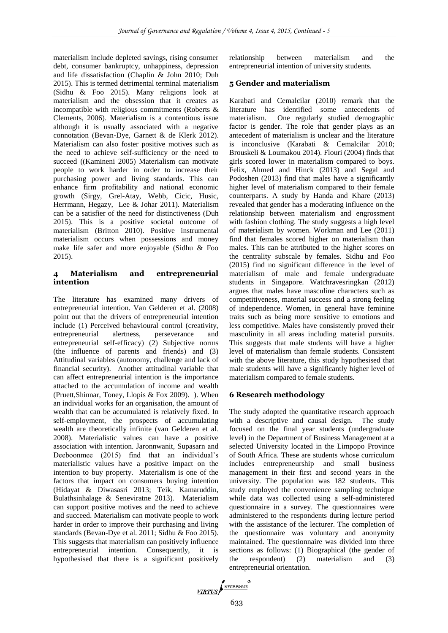materialism include depleted savings, rising consumer debt, consumer bankruptcy, unhappiness, depression and life dissatisfaction (Chaplin & John 2010; Duh 2015). This is termed detrimental terminal materialism (Sidhu & Foo 2015). Many religions look at materialism and the obsession that it creates as incompatible with religious commitments (Roberts & Clements, 2006). Materialism is a contentious issue although it is usually associated with a negative connotation (Bevan-Dye, Garnett & de Klerk 2012). Materialism can also foster positive motives such as the need to achieve self-sufficiency or the need to succeed ((Kamineni 2005) Materialism can motivate people to work harder in order to increase their purchasing power and living standards. This can enhance firm profitability and national economic growth (Sirgy, Grel-Atay, Webb, Cicic, Husic, Herrmann, Hegazy, Lee & Johar 2011). Materialism can be a satisfier of the need for distinctiveness (Duh 2015). This is a positive societal outcome of materialism (Britton 2010). Positive instrumental materialism occurs when possessions and money make life safer and more enjoyable (Sidhu & Foo 2015).

## **4 Materialism and entrepreneurial intention**

The literature has examined many drivers of entrepreneurial intention. Van Gelderen et al. (2008) point out that the drivers of entrepreneurial intention include (1) Perceived behavioural control (creativity, entrepreneurial alertness, perseverance and entrepreneurial self-efficacy) (2) Subjective norms (the influence of parents and friends) and (3) Attitudinal variables (autonomy, challenge and lack of financial security). Another attitudinal variable that can affect entrepreneurial intention is the importance attached to the accumulation of income and wealth (Pruett,Shinnar, Toney, Llopis & Fox 2009). ). When an individual works for an organisation, the amount of wealth that can be accumulated is relatively fixed. In self-employment, the prospects of accumulating wealth are theoretically infinite (van Gelderen et al. 2008). Materialistic values can have a positive association with intention. Jaronnwanit, Supasarn and Deeboonmee (2015) find that an individual's materialistic values have a positive impact on the intention to buy property. Materialism is one of the factors that impact on consumers buying intention (Hidayat & Diwasasri 2013; Teik, Kamaruddin, Bulathsinhalage & Seneviratne 2013). Materialism can support positive motives and the need to achieve and succeed. Materialism can motivate people to work harder in order to improve their purchasing and living standards (Bevan-Dye et al. 2011; Sidhu & Foo 2015). This suggests that materialism can positively influence entrepreneurial intention. Consequently, it is hypothesised that there is a significant positively

relationship between materialism and the entrepreneurial intention of university students.

# **5 Gender and materialism**

Karabati and Cemalcilar (2010) remark that the literature has identified some antecedents of materialism. One regularly studied demographic factor is gender. The role that gender plays as an antecedent of materialism is unclear and the literature is inconclusive (Karabati & Cemalcilar 2010; Brouskeli & Loumakou 2014). Flouri (2004) finds that girls scored lower in materialism compared to boys. Felix, Ahmed and Hinck (2013) and Segal and Podoshen (2013) find that males have a significantly higher level of materialism compared to their female counterparts. A study by Handa and Khare (2013) revealed that gender has a moderating influence on the relationship between materialism and engrossment with fashion clothing. The study suggests a high level of materialism by women. Workman and Lee (2011) find that females scored higher on materialism than males. This can be attributed to the higher scores on the centrality subscale by females. Sidhu and Foo (2015) find no significant difference in the level of materialism of male and female undergraduate students in Singapore. Watchravesringkan (2012) argues that males have masculine characters such as competitiveness, material success and a strong feeling of independence. Women, in general have feminine traits such as being more sensitive to emotions and less competitive. Males have consistently proved their masculinity in all areas including material pursuits. This suggests that male students will have a higher level of materialism than female students. Consistent with the above literature, this study hypothesised that male students will have a significantly higher level of materialism compared to female students.

# **6 Research methodology**

The study adopted the quantitative research approach with a descriptive and causal design. The study focused on the final year students (undergraduate level) in the Department of Business Management at a selected University located in the Limpopo Province of South Africa. These are students whose curriculum includes entrepreneurship and small business management in their first and second years in the university. The population was 182 students. This study employed the convenience sampling technique while data was collected using a self-administered questionnaire in a survey. The questionnaires were administered to the respondents during lecture period with the assistance of the lecturer. The completion of the questionnaire was voluntary and anonymity maintained. The questionnaire was divided into three sections as follows: (1) Biographical (the gender of the respondent) (2) materialism and (3) entrepreneurial orientation.

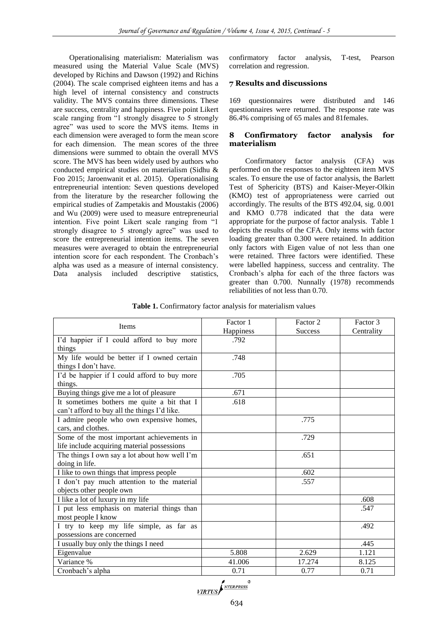Operationalising materialism: Materialism was measured using the Material Value Scale (MVS) developed by Richins and Dawson (1992) and Richins (2004). The scale comprised eighteen items and has a high level of internal consistency and constructs validity. The MVS contains three dimensions. These are success, centrality and happiness. Five point Likert scale ranging from "1 strongly disagree to 5 strongly agree" was used to score the MVS items. Items in each dimension were averaged to form the mean score for each dimension. The mean scores of the three dimensions were summed to obtain the overall MVS score. The MVS has been widely used by authors who conducted empirical studies on materialism (Sidhu & Foo 2015; Jaroenwanit et al. 2015). Operationalising entrepreneurial intention: Seven questions developed from the literature by the researcher following the empirical studies of Zampetakis and Moustakis (2006) and Wu (2009) were used to measure entrepreneurial intention. Five point Likert scale ranging from "1 strongly disagree to 5 strongly agree" was used to score the entrepreneurial intention items. The seven measures were averaged to obtain the entrepreneurial intention score for each respondent. The Cronbach's alpha was used as a measure of internal consistency. Data analysis included descriptive statistics, confirmatory factor analysis, T-test, Pearson correlation and regression.

# **7 Results and discussions**

169 questionnaires were distributed and 146 questionnaires were returned. The response rate was 86.4% comprising of 65 males and 81females.

# **8 Confirmatory factor analysis for materialism**

Confirmatory factor analysis (CFA) was performed on the responses to the eighteen item MVS scales. To ensure the use of factor analysis, the Barlett Test of Sphericity (BTS) and Kaiser-Meyer-Olkin (KMO) test of appropriateness were carried out accordingly. The results of the BTS 492.04, sig. 0.001 and KMO 0.778 indicated that the data were appropriate for the purpose of factor analysis. Table 1 depicts the results of the CFA. Only items with factor loading greater than 0.300 were retained. In addition only factors with Eigen value of not less than one were retained. Three factors were identified. These were labelled happiness, success and centrality. The Cronbach's alpha for each of the three factors was greater than 0.700. Nunnally (1978) recommends reliabilities of not less than 0.70.

| <b>Table 1.</b> Confirmatory factor analysis for materialism values |  |
|---------------------------------------------------------------------|--|
|---------------------------------------------------------------------|--|

| Items                                         | Factor 1<br>Happiness | Factor 2<br><b>Success</b> | Factor 3<br>Centrality |  |
|-----------------------------------------------|-----------------------|----------------------------|------------------------|--|
| I'd happier if I could afford to buy more     | .792                  |                            |                        |  |
| things                                        |                       |                            |                        |  |
| My life would be better if I owned certain    | .748                  |                            |                        |  |
| things I don't have.                          |                       |                            |                        |  |
| I'd be happier if I could afford to buy more  | .705                  |                            |                        |  |
| things.                                       |                       |                            |                        |  |
| Buying things give me a lot of pleasure       | .671                  |                            |                        |  |
| It sometimes bothers me quite a bit that I    | .618                  |                            |                        |  |
| can't afford to buy all the things I'd like.  |                       |                            |                        |  |
| I admire people who own expensive homes,      |                       | .775                       |                        |  |
| cars, and clothes.                            |                       |                            |                        |  |
| Some of the most important achievements in    |                       | .729                       |                        |  |
| life include acquiring material possessions   |                       |                            |                        |  |
| The things I own say a lot about how well I'm |                       | .651                       |                        |  |
| doing in life.                                |                       |                            |                        |  |
| I like to own things that impress people      |                       | .602                       |                        |  |
| I don't pay much attention to the material    |                       | .557                       |                        |  |
| objects other people own                      |                       |                            |                        |  |
| I like a lot of luxury in my life             |                       |                            | .608                   |  |
| I put less emphasis on material things than   |                       |                            | .547                   |  |
| most people I know                            |                       |                            |                        |  |
| I try to keep my life simple, as far as       |                       |                            | .492                   |  |
| possessions are concerned                     |                       |                            |                        |  |
| I usually buy only the things I need          |                       |                            | .445                   |  |
| Eigenvalue                                    | 5.808                 | 2.629                      | 1.121                  |  |
| Variance %                                    | 41.006                | 17.274                     | 8.125                  |  |
| Cronbach's alpha                              | 0.71                  | 0.77                       | 0.71                   |  |

VIRTUS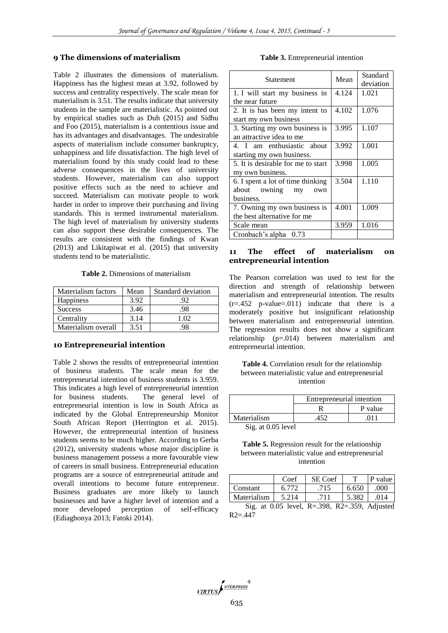## **9 The dimensions of materialism**

Table 2 illustrates the dimensions of materialism. Happiness has the highest mean at 3.92, followed by success and centrality respectively. The scale mean for materialism is 3.51. The results indicate that university students in the sample are materialistic. As pointed out by empirical studies such as Duh (2015) and Sidhu and Foo (2015), materialism is a contentious issue and has its advantages and disadvantages. The undesirable aspects of materialism include consumer bankruptcy, unhappiness and life dissatisfaction. The high level of materialism found by this study could lead to these adverse consequences in the lives of university students. However, materialism can also support positive effects such as the need to achieve and succeed. Materialism can motivate people to work harder in order to improve their purchasing and living standards. This is termed instrumental materialism. The high level of materialism by university students can also support these desirable consequences. The results are consistent with the findings of Kwan (2013) and Likitapiwat et al. (2015) that university students tend to be materialistic.

**Table 2.** Dimensions of materialism

| Materialism factors | Mean | Standard deviation |
|---------------------|------|--------------------|
| <b>Happiness</b>    | 3.92 | 92                 |
| <b>Success</b>      | 3.46 | .98                |
| Centrality          | 3.14 | 1 O2               |
| Materialism overall | 3.51 |                    |

#### **10 Entrepreneurial intention**

Table 2 shows the results of entrepreneurial intention of business students. The scale mean for the entrepreneurial intention of business students is 3.959. This indicates a high level of entrepreneurial intention for business students. The general level of entrepreneurial intention is low in South Africa as indicated by the Global Entrepreneurship Monitor South African Report (Herrington et al. 2015). However, the entrepreneurial intention of business students seems to be much higher. According to Gerba (2012), university students whose major discipline is business management possess a more favourable view of careers in small business. Entrepreneurial education programs are a source of entrepreneurial attitude and overall intentions to become future entrepreneur. Business graduates are more likely to launch businesses and have a higher level of intention and a more developed perception of self-efficacy (Ediagbonya 2013; Fatoki 2014).

#### **Table 3.** Entrepreneurial intention

| <b>Statement</b>                   | Mean  | Standard<br>deviation |
|------------------------------------|-------|-----------------------|
| 1. I will start my business in     | 4.124 | 1.021                 |
| the near future                    |       |                       |
| 2. It is has been my intent to     | 4.102 | 1.076                 |
| start my own business              |       |                       |
| 3. Starting my own business is     | 3.995 | 1.107                 |
| an attractive idea to me           |       |                       |
| 4. I am enthusiastic about         | 3.992 | 1.001                 |
| starting my own business.          |       |                       |
| 5. It is desirable for me to start | 3.998 | 1.005                 |
| my own business.                   |       |                       |
| 6. I spent a lot of time thinking  | 3.504 | 1.110                 |
| about owning<br>my<br>own          |       |                       |
| business.                          |       |                       |
| 7. Owning my own business is       | 4.001 | 1.009                 |
| the best alternative for me        |       |                       |
| Scale mean                         | 3.959 | 1.016                 |
| Cronbach's alpha 0.73              |       |                       |

# **11 The effect of materialism on entrepreneurial intention**

The Pearson correlation was used to test for the direction and strength of relationship between materialism and entrepreneurial intention. The results  $(r=.452 \text{ p-value}=.011)$  indicate that there is a moderately positive but insignificant relationship between materialism and entrepreneurial intention. The regression results does not show a significant relationship (p=.014) between materialism and entrepreneurial intention.

**Table 4.** Correlation result for the relationship between materialistic value and entrepreneurial intention

|             | Entrepreneurial intention |         |  |  |
|-------------|---------------------------|---------|--|--|
|             |                           | P value |  |  |
| Materialism |                           |         |  |  |
|             |                           |         |  |  |

Sig. at 0.05 level

| <b>Table 5.</b> Regression result for the relationship |  |  |  |  |
|--------------------------------------------------------|--|--|--|--|
| between materialistic value and entrepreneurial        |  |  |  |  |
| intention                                              |  |  |  |  |

|                                                 | Coef  | SE Coef |       | P value |  |
|-------------------------------------------------|-------|---------|-------|---------|--|
| Constant                                        | 6.772 | .715    | 6.650 | .000    |  |
| Materialism                                     | 5.214 | .711    | 5.382 | .014    |  |
| Sig. at $0.05$ level, R=.398, R2=.359, Adjusted |       |         |       |         |  |

 $R2 = .447$ 

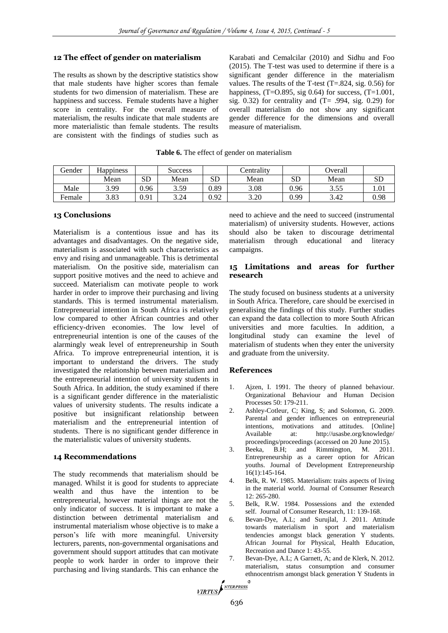# **12 The effect of gender on materialism**

The results as shown by the descriptive statistics show that male students have higher scores than female students for two dimension of materialism. These are happiness and success. Female students have a higher score in centrality. For the overall measure of materialism, the results indicate that male students are more materialistic than female students. The results are consistent with the findings of studies such as

Karabati and Cemalcilar (2010) and Sidhu and Foo (2015). The T-test was used to determine if there is a significant gender difference in the materialism values. The results of the T-test  $(T=.824, sig. 0.56)$  for happiness,  $(T=0.895, \text{sig } 0.64)$  for success,  $(T=1.001,$ sig. 0.32) for centrality and  $(T= .994, \text{ sig. } 0.29)$  for overall materialism do not show any significant gender difference for the dimensions and overall measure of materialism.

| Gender | <b>Happiness</b> |      | Success |           | Centrality |           | Overall |      |
|--------|------------------|------|---------|-----------|------------|-----------|---------|------|
|        | Mean             | SD   | Mean    | <b>SD</b> | Mean       | <b>SD</b> | Mean    | SD   |
| Male   | 3.99             | 0.96 | 3.59    | 0.89      | 3.08       | 0.96      | 3.55    | 1.01 |
| Female | 3.83             | 0.91 | 3.24    | 0.92      | 3.20       | 0.99      | 3.42    | 0.98 |

**Table 6.** The effect of gender on materialism

## **13 Conclusions**

Materialism is a contentious issue and has its advantages and disadvantages. On the negative side, materialism is associated with such characteristics as envy and rising and unmanageable. This is detrimental materialism. On the positive side, materialism can support positive motives and the need to achieve and succeed. Materialism can motivate people to work harder in order to improve their purchasing and living standards. This is termed instrumental materialism. Entrepreneurial intention in South Africa is relatively low compared to other African countries and other efficiency-driven economies. The low level of entrepreneurial intention is one of the causes of the alarmingly weak level of entrepreneurship in South Africa. To improve entrepreneurial intention, it is important to understand the drivers. The study investigated the relationship between materialism and the entrepreneurial intention of university students in South Africa. In addition, the study examined if there is a significant gender difference in the materialistic values of university students. The results indicate a positive but insignificant relationship between materialism and the entrepreneurial intention of students. There is no significant gender difference in the materialistic values of university students.

#### **14 Recommendations**

The study recommends that materialism should be managed. Whilst it is good for students to appreciate wealth and thus have the intention to be entrepreneurial, however material things are not the only indicator of success. It is important to make a distinction between detrimental materialism and instrumental materialism whose objective is to make a person's life with more meaningful. University lecturers, parents, non-governmental organisations and government should support attitudes that can motivate people to work harder in order to improve their purchasing and living standards. This can enhance the

need to achieve and the need to succeed (instrumental materialism) of university students. However, actions should also be taken to discourage detrimental materialism through educational and literacy campaigns.

# **15 Limitations and areas for further research**

The study focused on business students at a university in South Africa. Therefore, care should be exercised in generalising the findings of this study. Further studies can expand the data collection to more South African universities and more faculties. In addition, a longitudinal study can examine the level of materialism of students when they enter the university and graduate from the university.

# **References**

- 1. Ajzen, I. 1991. The theory of planned behaviour. Organizational Behaviour and Human Decision Processes 50: 179-211.
- 2. Ashley-Cotleur, C; King, S; and Solomon, G. 2009. Parental and gender influences on entrepreneurial intentions, motivations and attitudes. [Online] Available at: http://usasbe.org/knowledge/ proceedings/proceedings (accessed on 20 June 2015).
- 3. Beeka, B.H; and Rimmington, M. 2011. Entrepreneurship as a career option for African youths. Journal of Development Entrepreneurship 16(1):145-164.
- 4. Belk, R. W. 1985. Materialism: traits aspects of living in the material world. Journal of Consumer Research 12: 265-280.
- 5. Belk, R.W. 1984. Possessions and the extended self. Journal of Consumer Research, 11: 139-168.
- 6. Bevan-Dye, A.L; and Surujlal, J. 2011. Attitude towards materialism in sport and materialism tendencies amongst black generation Y students. African Journal for Physical, Health Education, Recreation and Dance 1: 43-55.
- 7. Bevan-Dye, A.L; A Garnett, A; and de Klerk, N. 2012. materialism, status consumption and consumer ethnocentrism amongst black generation Y Students in<br>VIRTUS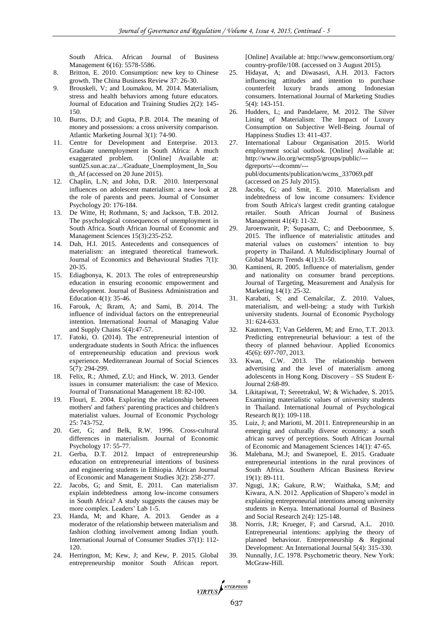South Africa. African Journal of Business Management 6(16): 5578-5586.

- 8. Britton, E. 2010. Consumption: new key to Chinese growth. The China Business Review 37: 26-30.
- 9. Brouskeli, V; and Loumakou, M. 2014. Materialism, stress and health behaviors among future educators. Journal of Education and Training Studies 2(2): 145- 150.
- 10. Burns, D.J; and Gupta, P.B. 2014. The meaning of money and possessions: a cross university comparison. Atlantic Marketing Journal 3(1): 74-90.
- 11. Centre for Development and Enterprise. 2013. Graduate unemployment in South Africa: A much exaggerated problem. [Online] Available at: sun025.sun.ac.za/.../Graduate\_Unemployment\_In\_Sou th\_Af (accessed on 20 June 2015).
- 12. Chaplin, L.N; and John, D.R. 2010. Interpersonal influences on adolescent materialism: a new look at the role of parents and peers. Journal of Consumer Psychology 20: 176-184.
- 13. De Witte, H; Rothmann, S; and Jackson, T.B. 2012. The psychological consequences of unemployment in South Africa. South African Journal of Economic and Management Sciences 15(3):235-252.
- 14. Duh, H.I. 2015. Antecedents and consequences of materialism: an integrated theoretical framework. Journal of Economics and Behavioural Studies 7(1): 20-35.
- 15. Ediagbonya, K. 2013. The roles of entrepreneurship education in ensuring economic empowerment and development. Journal of Business Administration and Education 4(1): 35-46.
- 16. Farouk, A; Ikram, A; and Sami, B. 2014. The influence of individual factors on the entrepreneurial intention. International Journal of Managing Value and Supply Chains 5(4):47-57.
- 17. Fatoki, O. (2014). The entrepreneurial intention of undergraduate students in South Africa: the influences of entrepreneurship education and previous work experience. Mediterranean Journal of Social Sciences 5(7): 294-299.
- 18. Felix, R.; Ahmed, Z.U; and Hinck, W. 2013. Gender issues in consumer materialism: the case of Mexico. Journal of Transnational Management 18: 82-100.
- 19. Flouri, E. 2004. Exploring the relationship between mothers' and fathers' parenting practices and children's materialist values. Journal of Economic Psychology 25: 743-752.
- 20. Ger, G; and Belk, R.W. 1996. Cross-cultural differences in materialism. Journal of Economic Psychology 17: 55-77.
- 21. Gerba, D.T. 2012. Impact of entrepreneurship education on entrepreneurial intentions of business and engineering students in Ethiopia. African Journal of Economic and Management Studies 3(2): 258-277.
- 22. Jacobs, G; and Smit, E. 2011. Can materialism explain indebtedness among low-income consumers in South Africa? A study suggests the causes may be more complex. Leaders' Lab 1-5.
- 23. Handa, M; and Khare, A. 2013. Gender as a moderator of the relationship between materialism and fashion clothing involvement among Indian youth. International Journal of Consumer Studies 37(1): 112- 120.
- 24. Herrington, M; Kew, J; and Kew, P. 2015. Global entrepreneurship monitor South African report.

[Online] Available at: http://www.gemconsortium.org/ country-profile/108. (accessed on 3 August 2015).

- 25. Hidayat, A; and Diwasasri, A.H. 2013. Factors influencing attitudes and intention to purchase counterfeit luxury brands among Indonesian consumers. International Journal of Marketing Studies 5(4): 143-151.
- 26. Hudders, L; and Pandelaere, M. 2012. The Silver Lining of Materialism: The Impact of Luxury Consumption on Subjective Well-Being. Journal of Happiness Studies 13: 411-437.
- 27. International Labour Organisation 2015. World employment social outlook. [Online] Available at: http://www.ilo.org/wcmsp5/groups/public/-- dgreports/---dcomm/-- publ/documents/publication/wcms\_337069.pdf (accessed on 25 July 2015).
- 28. Jacobs, G; and Smit, E. 2010. Materialism and indebtedness of low income consumers: Evidence from South Africa's largest credit granting catalogue retailer. South African Journal of Business Management 41(4): 11-32.
- 29. Jaroenwanit, P; Supasarn, C; and Deeboonmee, S. 2015. The influence of materialistic attitudes and material values on customers' intention to buy property in Thailand. A Multidisciplinary Journal of Global Macro Trends 4(1):31-50.
- 30. Kamineni, R. 2005. Influence of materialism, gender and nationality on consumer brand perceptions. Journal of Targeting, Measurement and Analysis for Marketing 14(1): 25-32.
- 31. Karabati, S; and Cemalcilar, Z. 2010. Values, materialism, and well-being: a study with Turkish university students. Journal of Economic Psychology 31: 624-633.
- 32. Kautonen, T; Van Gelderen, M; and Erno, T.T. 2013. Predicting entrepreneurial behaviour: a test of the theory of planned behaviour. Applied Economics 45(6): 697-707, 2013.
- 33. Kwan, C.W. 2013. The relationship between advertising and the level of materialism among adolescents in Hong Kong. Discovery – SS Student E‐ Journal 2:68-89.
- 34. Likitapiwat, T; Sereetrakul, W; & Wichadee, S. 2015. Examining materialistic values of university students in Thailand. International Journal of Psychological Research 8(1): 109-118.
- 35. Luiz, J; and Mariotti, M. 2011. Entrepreneurship in an emerging and culturally diverse economy: a south african survey of perceptions. South African Journal of Economic and Management Sciences 14(1): 47-65.
- 36. Malebana, M.J; and Swanepoel, E. 2015. Graduate entrepreneurial intentions in the rural provinces of South Africa. Southern African Business Review 19(1): 89-111.
- 37. Ngugi, J.K; Gakure, R.W; Waithaka, S.M; and Kiwara, A.N. 2012. Application of Shapero's model in explaining entrepreneurial intentions among university students in Kenya. International Journal of Business and Social Research 2(4): 125-148.
- 38. Norris, J.R; Krueger, F; and Carsrud, A.L. 2010. Entrepreneurial intentions: applying the theory of planned behaviour. Entrepreneurship & Regional Development: An International Journal 5(4): 315-330.
- 39. Nunnally, J.C. 1978. Psychometric theory. New York: McGraw-Hill.

VIRTUS NEERPRESS